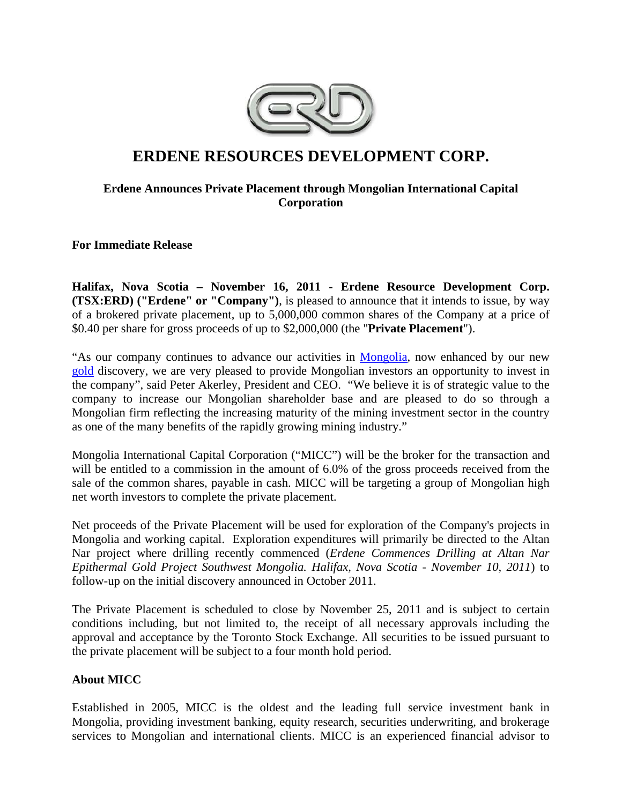

# **ERDENE RESOURCES DEVELOPMENT CORP.**

# **Erdene Announces Private Placement through Mongolian International Capital Corporation**

**For Immediate Release** 

**Halifax, Nova Scotia – November 16, 2011 - Erdene Resource Development Corp. (TSX:ERD) ("Erdene" or "Company")**, is pleased to announce that it intends to issue, by way of a brokered private placement, up to 5,000,000 common shares of the Company at a price of \$0.40 per share for gross proceeds of up to \$2,000,000 (the "**Private Placement**").

"As our company continues to advance our activities in Mongolia, now enhanced by our new gold discovery, we are very pleased to provide Mongolian investors an opportunity to invest in the company", said Peter Akerley, President and CEO. "We believe it is of strategic value to the company to increase our Mongolian shareholder base and are pleased to do so through a Mongolian firm reflecting the increasing maturity of the mining investment sector in the country as one of the many benefits of the rapidly growing mining industry."

Mongolia International Capital Corporation ("MICC") will be the broker for the transaction and will be entitled to a commission in the amount of 6.0% of the gross proceeds received from the sale of the common shares, payable in cash. MICC will be targeting a group of Mongolian high net worth investors to complete the private placement.

Net proceeds of the Private Placement will be used for exploration of the Company's projects in Mongolia and working capital. Exploration expenditures will primarily be directed to the Altan Nar project where drilling recently commenced (*Erdene Commences Drilling at Altan Nar Epithermal Gold Project Southwest Mongolia. Halifax, Nova Scotia - November 10, 2011*) to follow-up on the initial discovery announced in October 2011.

The Private Placement is scheduled to close by November 25, 2011 and is subject to certain conditions including, but not limited to, the receipt of all necessary approvals including the approval and acceptance by the Toronto Stock Exchange. All securities to be issued pursuant to the private placement will be subject to a four month hold period.

# **About MICC**

Established in 2005, MICC is the oldest and the leading full service investment bank in Mongolia, providing investment banking, equity research, securities underwriting, and brokerage services to Mongolian and international clients. MICC is an experienced financial advisor to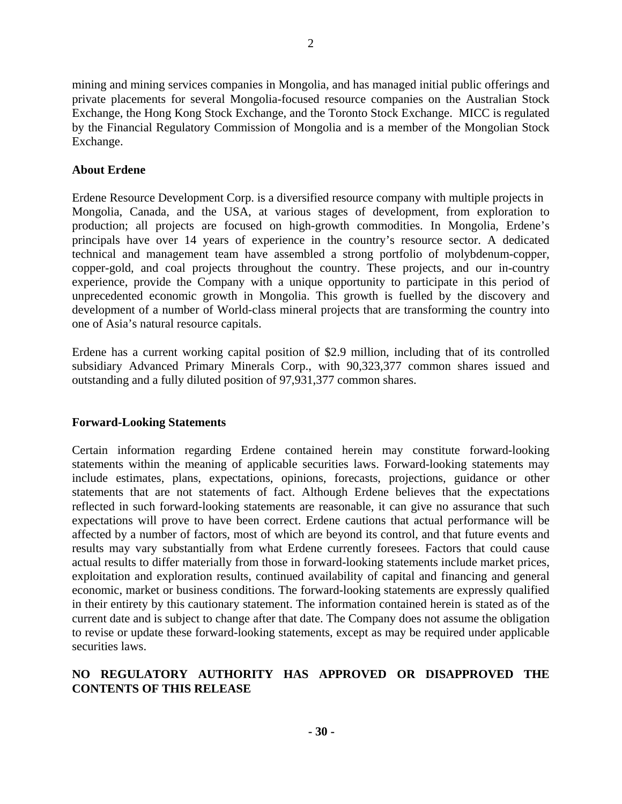mining and mining services companies in Mongolia, and has managed initial public offerings and private placements for several Mongolia-focused resource companies on the Australian Stock Exchange, the Hong Kong Stock Exchange, and the Toronto Stock Exchange. MICC is regulated by the Financial Regulatory Commission of Mongolia and is a member of the Mongolian Stock Exchange.

## **About Erdene**

Erdene Resource Development Corp. is a diversified resource company with multiple projects in Mongolia, Canada, and the USA, at various stages of development, from exploration to production; all projects are focused on high-growth commodities. In Mongolia, Erdene's principals have over 14 years of experience in the country's resource sector. A dedicated technical and management team have assembled a strong portfolio of molybdenum-copper, copper-gold, and coal projects throughout the country. These projects, and our in-country experience, provide the Company with a unique opportunity to participate in this period of unprecedented economic growth in Mongolia. This growth is fuelled by the discovery and development of a number of World-class mineral projects that are transforming the country into one of Asia's natural resource capitals.

Erdene has a current working capital position of \$2.9 million, including that of its controlled subsidiary Advanced Primary Minerals Corp., with 90,323,377 common shares issued and outstanding and a fully diluted position of 97,931,377 common shares.

#### **Forward-Looking Statements**

Certain information regarding Erdene contained herein may constitute forward-looking statements within the meaning of applicable securities laws. Forward-looking statements may include estimates, plans, expectations, opinions, forecasts, projections, guidance or other statements that are not statements of fact. Although Erdene believes that the expectations reflected in such forward-looking statements are reasonable, it can give no assurance that such expectations will prove to have been correct. Erdene cautions that actual performance will be affected by a number of factors, most of which are beyond its control, and that future events and results may vary substantially from what Erdene currently foresees. Factors that could cause actual results to differ materially from those in forward-looking statements include market prices, exploitation and exploration results, continued availability of capital and financing and general economic, market or business conditions. The forward-looking statements are expressly qualified in their entirety by this cautionary statement. The information contained herein is stated as of the current date and is subject to change after that date. The Company does not assume the obligation to revise or update these forward-looking statements, except as may be required under applicable securities laws.

## **NO REGULATORY AUTHORITY HAS APPROVED OR DISAPPROVED THE CONTENTS OF THIS RELEASE**